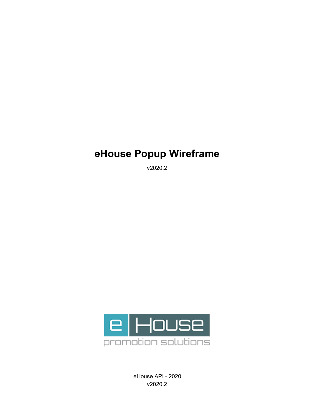## **eHouse Popup Wireframe**

v2020.2



eHouse API - 2020 v2020.2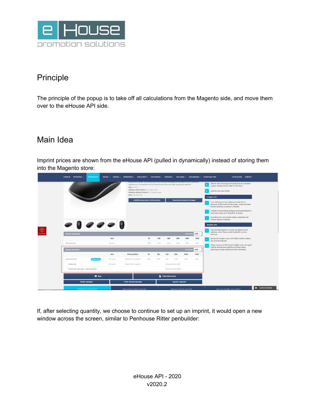

## Principle

The principle of the popup is to take off all calculations from the Magento side, and move them over to the eHouse API side.

## Main Idea

Imprint prices are shown from the eHouse API (pulled in dynamically) instead of storing them into the Magento store:

| $\bullet$ 0 0 0 0 0                     |  |                                        |  |                  | TRAVEL ~ LEISURE ~ DRINKWARE ~ KIDS & PETS ~ STATIONARY ~ PREMIUM ~ WELLNESS ~ SUSTAINABLE ~ CHRISTMAS ITEM<br>Edelo invente de l'Outon par la 1989 nombre por la catalante discussione de la provincia de la Carponia ponedentifi<br>preference. Compatible with all recent Windows and Mac operating systems<br>$RSP: \in 15.47$<br>Delivery with imprint : 8 working days<br>Delivery without imprint : 1-2 working days<br>SKU: XD-P300.321<br><b>Download product images</b><br><b>Additional product information</b> |                       |              |                       |                      |                          | Check "Use TronLogo Visualisation if available"<br>under "Product Info" later in the flow<br>Add to Cart and Order<br><b>Freight Info</b><br>Free delivery to one address inside EU or<br>Norway if the value of the order, measured per<br>brand ordered, is above € 500,00.<br>Freight and packing charges per brand below a<br>sub total value of € 500,00 is € 30,00.<br>Handling fee of € 20,00 will be added for all<br>orders below $\in$ 200,00.<br><b>Sample Info</b><br>Use Sample button to order samples to one<br>address only. Terms valid inside EU and to |                                                                                                                                            |
|-----------------------------------------|--|----------------------------------------|--|------------------|----------------------------------------------------------------------------------------------------------------------------------------------------------------------------------------------------------------------------------------------------------------------------------------------------------------------------------------------------------------------------------------------------------------------------------------------------------------------------------------------------------------------------|-----------------------|--------------|-----------------------|----------------------|--------------------------|---------------------------------------------------------------------------------------------------------------------------------------------------------------------------------------------------------------------------------------------------------------------------------------------------------------------------------------------------------------------------------------------------------------------------------------------------------------------------------------------------------------------------------------------------------------------------|--------------------------------------------------------------------------------------------------------------------------------------------|
| <b>Product Summary</b><br>Product price |  |                                        |  | Unit<br>Per pcs. |                                                                                                                                                                                                                                                                                                                                                                                                                                                                                                                            | 10<br>10.83           | 100<br>10.55 | 250<br>10,27          | 500<br>9.96          | Currency<br>1000<br>9,78 | $EUR \vee$<br>1500<br>9,59                                                                                                                                                                                                                                                                                                                                                                                                                                                                                                                                                | Norway.<br>Reduced freight costs of € 15,00 will be added<br>per brand ordered.                                                            |
| <b>Imprint Summary</b>                  |  |                                        |  |                  |                                                                                                                                                                                                                                                                                                                                                                                                                                                                                                                            |                       |              |                       |                      | Currency                 | $EUR$ $\vee$                                                                                                                                                                                                                                                                                                                                                                                                                                                                                                                                                              | Value coupon of the total freight costs charged<br>will be issued and valid for 30 days when<br>placing an order online (not for samples). |
|                                         |  |                                        |  | Unit             | <b>Print position</b>                                                                                                                                                                                                                                                                                                                                                                                                                                                                                                      | 10                    | 100          | 250                   | 500                  | 1000                     | 1500                                                                                                                                                                                                                                                                                                                                                                                                                                                                                                                                                                      |                                                                                                                                            |
| Lasergravering                          |  | <b>PRINT INFO</b>                      |  | Per color        | Artikel front nederst                                                                                                                                                                                                                                                                                                                                                                                                                                                                                                      | 0.84                  | 0.70         | 0.61                  | 0.59                 | 0.56                     | 0.56                                                                                                                                                                                                                                                                                                                                                                                                                                                                                                                                                                      |                                                                                                                                            |
| + setup fee                             |  |                                        |  | Per color        |                                                                                                                                                                                                                                                                                                                                                                                                                                                                                                                            | Artikel front nederst |              | All quantities: 46.67 |                      |                          |                                                                                                                                                                                                                                                                                                                                                                                                                                                                                                                                                                           |                                                                                                                                            |
|                                         |  | Production start cost - Lasergravering |  |                  |                                                                                                                                                                                                                                                                                                                                                                                                                                                                                                                            |                       |              |                       | One time cost: 29,09 |                          |                                                                                                                                                                                                                                                                                                                                                                                                                                                                                                                                                                           |                                                                                                                                            |
| $E$ Buy                                 |  |                                        |  |                  |                                                                                                                                                                                                                                                                                                                                                                                                                                                                                                                            |                       |              |                       | Calculate price      |                          |                                                                                                                                                                                                                                                                                                                                                                                                                                                                                                                                                                           |                                                                                                                                            |
| Order sample                            |  |                                        |  |                  | Free virtual sample                                                                                                                                                                                                                                                                                                                                                                                                                                                                                                        |                       |              |                       | Quote request        |                          |                                                                                                                                                                                                                                                                                                                                                                                                                                                                                                                                                                           |                                                                                                                                            |

If, after selecting quantity, we choose to continue to set up an imprint, it would open a new window across the screen, similar to Penhouse Ritter penbuilder: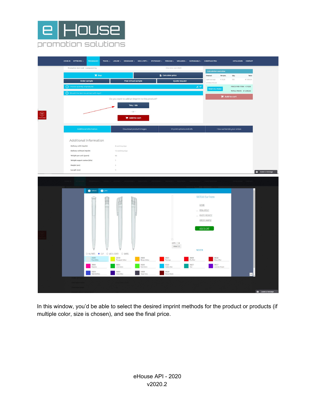



In this window, you'd be able to select the desired imprint methods for the product or products (if multiple color, size is chosen), and see the final price.